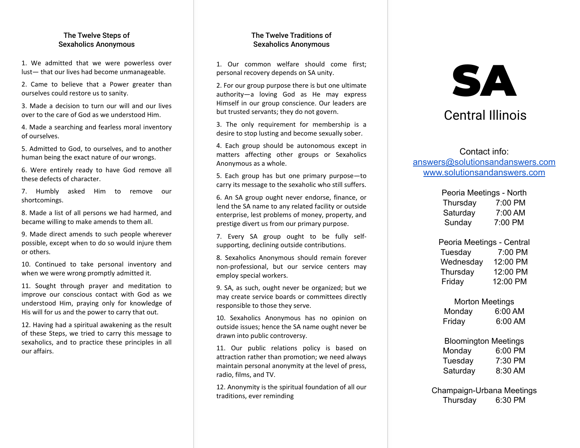#### The Twelve Steps of Sexaholics Anonymous

1. We admitted that we were powerless over lust— that our lives had become unmanageable.

2. Came to believe that a Power greater than ourselves could restore us to sanity.

3. Made a decision to turn our will and our lives over to the care of God as we understood Him.

4. Made a searching and fearless moral inventory of ourselves.

5. Admitted to God, to ourselves, and to another human being the exact nature of our wrongs.

6. Were entirely ready to have God remove all these defects of character.

7. Humbly asked Him to remove our shortcomings.

8. Made a list of all persons we had harmed, and became willing to make amends to them all.

9. Made direct amends to such people wherever possible, except when to do so would injure them or others.

10. Continued to take personal inventory and when we were wrong promptly admitted it.

11. Sought through prayer and meditation to improve our conscious contact with God as we understood Him, praying only for knowledge of His will for us and the power to carry that out.

12. Having had a spiritual awakening as the result of these Steps, we tried to carry this message to sexaholics, and to practice these principles in all our affairs.

#### The Twelve Traditions of Sexaholics Anonymous

1. Our common welfare should come first; personal recovery depends on SA unity.

2. For our group purpose there is but one ultimate authority—a loving God as He may express Himself in our group conscience. Our leaders are but trusted servants; they do not govern.

3. The only requirement for membership is a desire to stop lusting and become sexually sober.

4. Each group should be autonomous except in matters affecting other groups or Sexaholics Anonymous as a whole.

5. Each group has but one primary purpose—to carry its message to the sexaholic who still suffers.

6. An SA group ought never endorse, finance, or lend the SA name to any related facility or outside enterprise, lest problems of money, property, and prestige divert us from our primary purpose.

7. Every SA group ought to be fully selfsupporting, declining outside contributions.

8. Sexaholics Anonymous should remain forever non-professional, but our service centers may employ special workers.

9. SA, as such, ought never be organized; but we may create service boards or committees directly responsible to those they serve.

10. Sexaholics Anonymous has no opinion on outside issues; hence the SA name ought never be drawn into public controversy.

11. Our public relations policy is based on attraction rather than promotion; we need always maintain personal anonymity at the level of press, radio, films, and TV.

12. Anonymity is the spiritual foundation of all our traditions, ever reminding

# SA

## Central Illinois

Contact info: [answers@solutionsandanswers.com](mailto:answers@solutionsandanswers.com) [www.solutionsandanswers.com](http://www.solutionsandanswers.com)

| Peoria Meetings - North |         |  |
|-------------------------|---------|--|
| Thursday                | 7:00 PM |  |
| Saturday                | 7:00 AM |  |
| Sunday                  | 7:00 PM |  |

Peoria Meetings - Central Tuesday 7:00 PM Wednesday 12:00 PM Thursday 12:00 PM Friday 12:00 PM

#### Morton Meetings

| Monday | 6:00 AM |
|--------|---------|
| Friday | 6:00 AM |

| <b>Bloomington Meetings</b> |         |
|-----------------------------|---------|
| Monday                      | 6:00 PM |
| Tuesday                     | 7:30 PM |
| Saturday                    | 8:30 AM |

Champaign-Urbana Meetings Thursday 6:30 PM